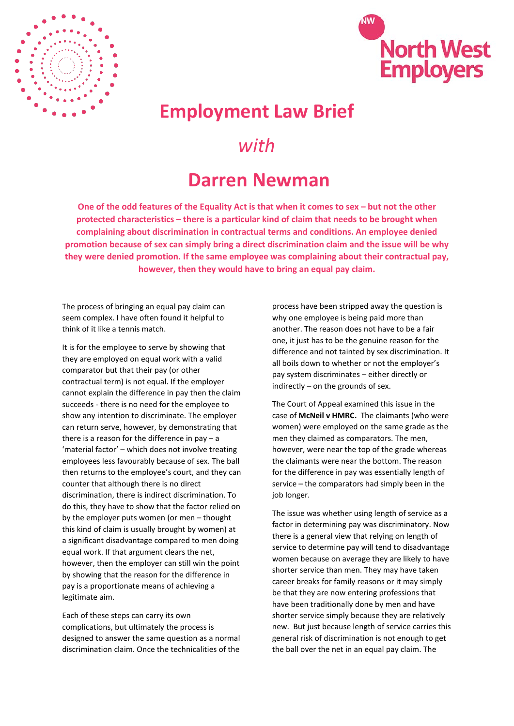



## **Employment Law Brief**

## *with*

## **Darren Newman**

**One of the odd features of the Equality Act is that when it comes to sex – but not the other protected characteristics – there is a particular kind of claim that needs to be brought when complaining about discrimination in contractual terms and conditions. An employee denied promotion because of sex can simply bring a direct discrimination claim and the issue will be why they were denied promotion. If the same employee was complaining about their contractual pay, however, then they would have to bring an equal pay claim.**

The process of bringing an equal pay claim can seem complex. I have often found it helpful to think of it like a tennis match.

It is for the employee to serve by showing that they are employed on equal work with a valid comparator but that their pay (or other contractual term) is not equal. If the employer cannot explain the difference in pay then the claim succeeds - there is no need for the employee to show any intention to discriminate. The employer can return serve, however, by demonstrating that there is a reason for the difference in pay – a 'material factor' – which does not involve treating employees less favourably because of sex. The ball then returns to the employee's court, and they can counter that although there is no direct discrimination, there is indirect discrimination. To do this, they have to show that the factor relied on by the employer puts women (or men – thought this kind of claim is usually brought by women) at a significant disadvantage compared to men doing equal work. If that argument clears the net, however, then the employer can still win the point by showing that the reason for the difference in pay is a proportionate means of achieving a legitimate aim.

Each of these steps can carry its own complications, but ultimately the process is designed to answer the same question as a normal discrimination claim. Once the technicalities of the

process have been stripped away the question is why one employee is being paid more than another. The reason does not have to be a fair one, it just has to be the genuine reason for the difference and not tainted by sex discrimination. It all boils down to whether or not the employer's pay system discriminates – either directly or indirectly – on the grounds of sex.

The Court of Appeal examined this issue in the case of **McNeil v HMRC.** The claimants (who were women) were employed on the same grade as the men they claimed as comparators. The men, however, were near the top of the grade whereas the claimants were near the bottom. The reason for the difference in pay was essentially length of service – the comparators had simply been in the job longer.

The issue was whether using length of service as a factor in determining pay was discriminatory. Now there is a general view that relying on length of service to determine pay will tend to disadvantage women because on average they are likely to have shorter service than men. They may have taken career breaks for family reasons or it may simply be that they are now entering professions that have been traditionally done by men and have shorter service simply because they are relatively new. But just because length of service carries this general risk of discrimination is not enough to get the ball over the net in an equal pay claim. The